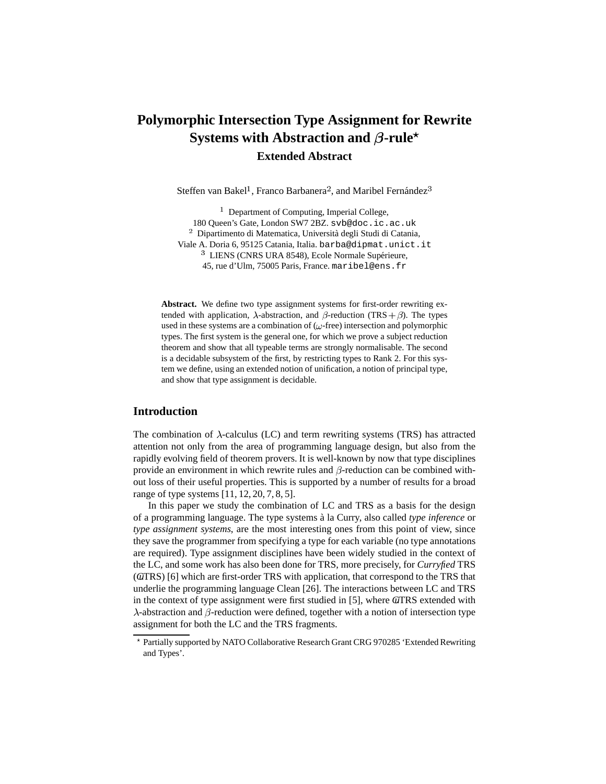# **Polymorphic Intersection Type Assignment for Rewrite Systems** with Abstraction and  $\beta$ -rule<sup>\*</sup> **Extended Abstract**

Steffen van Bakel<sup>1</sup>, Franco Barbanera<sup>2</sup>, and Maribel Fernández<sup>3</sup>

 $1$  Department of Computing, Imperial College, 180 Queen's Gate, London SW7 2BZ. svb@doc.ic.ac.uk  $^{\rm 2}$  Dipartimento di Matematica, Università degli Studi di Catania, Viale A. Doria 6, 95125 Catania, Italia. barba@dipmat.unict.it <sup>3</sup> LIENS (CNRS URA 8548), Ecole Normale Supérieure, 45, rue d'Ulm, 75005 Paris, France. maribel@ens.fr

**Abstract.** We define two type assignment systems for first-order rewriting extended with application,  $\lambda$ -abstraction, and  $\beta$ -reduction (TRS +  $\beta$ ). The types used in these systems are a combination of  $(\omega$ -free) intersection and polymorphic types. The first system is the general one, for which we prove a subject reduction theorem and show that all typeable terms are strongly normalisable. The second is a decidable subsystem of the first, by restricting types to Rank 2. For this system we define, using an extended notion of unification, a notion of principal type, and show that type assignment is decidable.

## **Introduction**

The combination of  $\lambda$ -calculus (LC) and term rewriting systems (TRS) has attracted attention not only from the area of programming language design, but also from the rapidly evolving field of theorem provers. It is well-known by now that type disciplines provide an environment in which rewrite rules and  $\beta$ -reduction can be combined without loss of their useful properties. This is supported by a number of results for a broad range of type systems [11, 12, 20, 7, 8, 5].

In this paper we study the combination of LC and TRS as a basis for the design of a programming language. The type systems a` la Curry, also called *type inference* or *type assignment systems*, are the most interesting ones from this point of view, since they save the programmer from specifying a type for each variable (no type annotations are required). Type assignment disciplines have been widely studied in the context of the LC, and some work has also been done for TRS, more precisely, for *Curryfied* TRS (*Cu*TRS) [6] which are first-order TRS with application, that correspond to the TRS that underlie the programming language Clean [26]. The interactions between LC and TRS in the context of type assignment were first studied in [5], where *Cu*TRS extended with  $\lambda$ -abstraction and  $\beta$ -reduction were defined, together with a notion of intersection type assignment for both the LC and the TRS fragments.

Partially supported by NATO Collaborative Research Grant CRG 970285 'Extended Rewriting and Types'.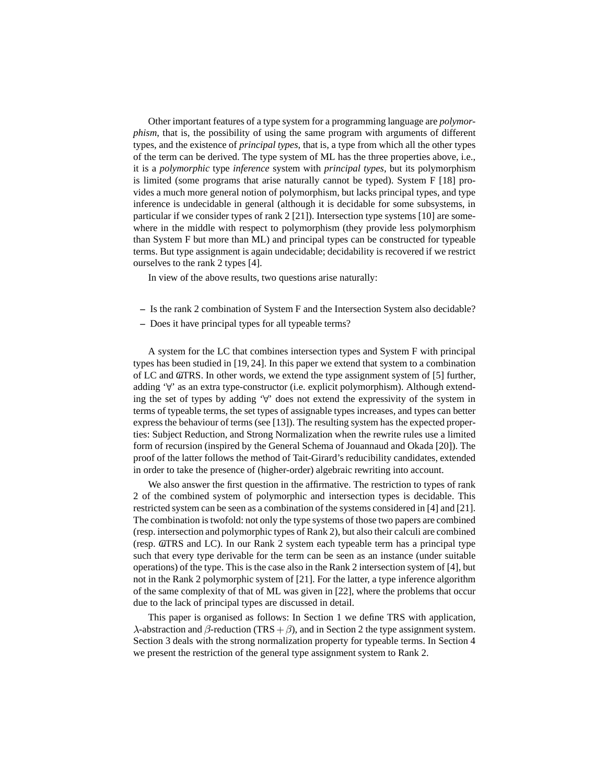Other important features of a type system for a programming language are *polymorphism*, that is, the possibility of using the same program with arguments of different types, and the existence of *principal types*, that is, a type from which all the other types of the term can be derived. The type system of ML has the three properties above, i.e., it is a *polymorphic* type *inference* system with *principal types*, but its polymorphism is limited (some programs that arise naturally cannot be typed). System F [18] provides a much more general notion of polymorphism, but lacks principal types, and type inference is undecidable in general (although it is decidable for some subsystems, in particular if we consider types of rank 2 [21]). Intersection type systems [10] are somewhere in the middle with respect to polymorphism (they provide less polymorphism than System F but more than ML) and principal types can be constructed for typeable terms. But type assignment is again undecidable; decidability is recovered if we restrict ourselves to the rank 2 types [4].

In view of the above results, two questions arise naturally:

- **–** Is the rank 2 combination of System F and the Intersection System also decidable?
- **–** Does it have principal types for all typeable terms?

A system for the LC that combines intersection types and System F with principal types has been studied in [19, 24]. In this paper we extend that system to a combination of LC and *GI*TRS. In other words, we extend the type assignment system of [5] further, adding  $\forall$  as an extra type-constructor (i.e. explicit polymorphism). Although extending the set of types by adding  $\forall$  does not extend the expressivity of the system in terms of typeable terms, the set types of assignable types increases, and types can better expressthe behaviour of terms (see [13]). The resulting system has the expected properties: Subject Reduction, and Strong Normalization when the rewrite rules use a limited form of recursion (inspired by the General Schema of Jouannaud and Okada [20]). The proof of the latter follows the method of Tait-Girard's reducibility candidates, extended in order to take the presence of (higher-order) algebraic rewriting into account.

We also answer the first question in the affirmative. The restriction to types of rank 2 of the combined system of polymorphic and intersection types is decidable. This restricted system can be seen as a combination of the systems considered in [4] and [21]. The combination istwofold: not only the type systems of those two papers are combined (resp. intersection and polymorphic types of Rank 2), but also their calculi are combined (resp. *Cu*TRS and LC). In our Rank 2 system each typeable term has a principal type such that every type derivable for the term can be seen as an instance (under suitable operations) of the type. This is the case also in the Rank 2 intersection system of [4], but not in the Rank 2 polymorphic system of [21]. For the latter, a type inference algorithm of the same complexity of that of ML was given in [22], where the problems that occur due to the lack of principal types are discussed in detail.

This paper is organised as follows: In Section 1 we define TRS with application,  $\lambda$ -abstraction and  $\beta$ -reduction (TRS +  $\beta$ ), and in Section 2 the type assignment system. Section 3 deals with the strong normalization property for typeable terms. In Section 4 we present the restriction of the general type assignment system to Rank 2.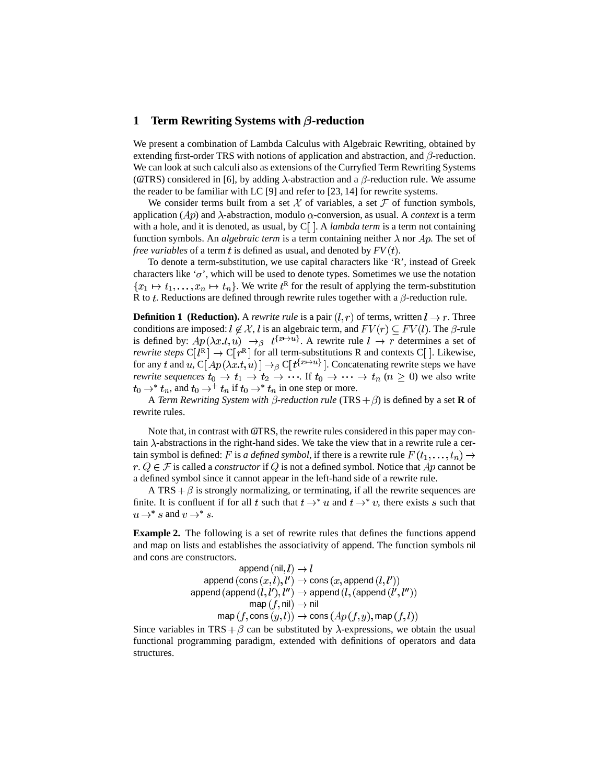# **1 Term Rewriting Systems with**  $\beta$ **-reduction**

We present a combination of Lambda Calculus with Algebraic Rewriting, obtained by extending first-order TRS with notions of application and abstraction, and  $\beta$ -reduction. We can look at such calculi also as extensions of the Curryfied Term Rewriting Systems ( $\alpha$ TRS) considered in [6], by adding  $\lambda$ -abstraction and a  $\beta$ -reduction rule. We assume the reader to be familiar with LC [9] and refer to [23, 14] for rewrite systems.

We consider terms built from a set  $\mathcal X$  of variables, a set  $\mathcal F$  of function symbols, application ( $Ap$ ) and  $\lambda$ -abstraction, modulo  $\alpha$ -conversion, as usual. A *context* is a term with a hole, and it is denoted, as usual, by  $C \mid A \mid A$  *lambda term* is a term not containing function symbols. An *algebraic term* is a term containing neither  $\lambda$  nor  $Ap$ . The set of *free variables* of a term t is defined as usual, and denoted by  $FV(t)$ .

To denote a term-substitution, we use capital characters like 'R', instead of Greek characters like ' $\sigma$ ', which will be used to denote types. Sometimes we use the notation  $\{x_1 \mapsto t_1, \dots, x_n \mapsto t_n\}$ . We write  $t^R$  for the result of applying the term-substitution R to t. Reductions are defined through rewrite rules together with a  $\beta$ -reduction rule.

**Definition 1 (Reduction).** A *rewrite rule* is a pair  $(l, r)$  of terms, written  $l \rightarrow r$ . Three conditions are imposed:  $l \notin \mathcal{X}$ , l is an algebraic term, and  $FV(r) \subseteq FV(l)$ . The  $\beta$ -rule is defined by:  $Ap(\lambda x.t, u) \rightarrow_{\beta} t^{\{x \mapsto u\}}$ . A rewrite rule  $l \rightarrow r$  determines a set of *rewrite steps*  $C[I^R] \rightarrow C[r^R]$  for all term-substitutions R and contexts  $C[$ . Likewise, for any t and u,  $C[Ap(\lambda x.t, u)] \rightarrow_{\beta} C[t^{\{x \mapsto u\}}]$ . Concatenating rewrite steps we have *rewrite sequences*  $t_0 \to t_1 \to t_2 \to \cdots$  If  $t_0 \to \cdots \to t_n$   $(n \ge 0)$  we also write  $t_0 \rightarrow^* t_n$ , and  $t_0 \rightarrow^* t_n$  if  $t_0 \rightarrow^* t_n$  in one step or more.

A *Term Rewriting System with*  $\beta$ *-reduction rule* (TRS  $+ \beta$ ) is defined by a set **R** of rewrite rules.

Note that, in contrast with GUTRS, the rewrite rules considered in this paper may contain  $\lambda$ -abstractions in the right-hand sides. We take the view that in a rewrite rule a certain symbol is defined: F is *a defined symbol*, if there is a rewrite rule  $F(t_1, \ldots, t_n) \rightarrow$  $r \nvert Q \in \mathcal{F}$  is called a *constructor* if Q is not a defined symbol. Notice that Ap cannot be a defined symbol since it cannot appear in the left-hand side of a rewrite rule.

A TRS  $+\beta$  is strongly normalizing, or terminating, if all the rewrite sequences are finite. It is confluent if for all t such that  $t \rightarrow^* u$  and  $t \rightarrow^* v$ , there exists s such that  $u \rightarrow^* s$  and  $v \rightarrow^* s$ .

**Example 2.** The following is a set of rewrite rules that defines the functions append and map on lists and establishes the associativity of append. The function symbols nil and cons are constructors.

$$
\text{append (nil}, l) \rightarrow l
$$
\n
$$
\text{append (cons } (x, l), l') \rightarrow \text{cons } (x, \text{append } (l, l'))
$$
\n
$$
\text{append (append } (l, l'), l'') \rightarrow \text{append } (l, (\text{append } (l', l''))
$$
\n
$$
\text{map } (f, \text{nil}) \rightarrow \text{nil}
$$
\n
$$
\text{map } (f, \text{cons } (y, l)) \rightarrow \text{cons } (Ap (f, y), \text{map } (f, l))
$$

Since variables in TRS +  $\beta$  can be substituted by  $\lambda$ -expressions, we obtain the usual functional programming paradigm, extended with definitions of operators and data structures.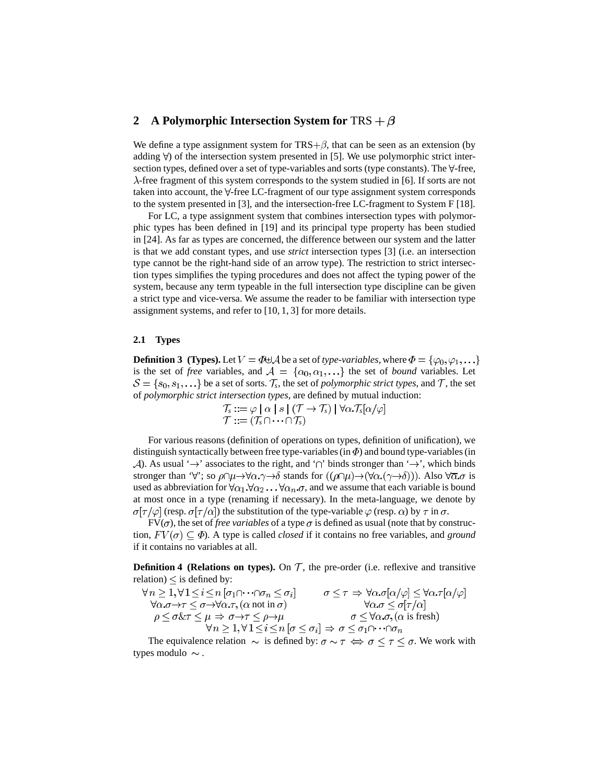# **2 A** Polymorphic Intersection System for TRS  $+ \beta$

We define a type assignment system for  $TRS + \beta$ , that can be seen as an extension (by adding  $\forall$  of the intersection system presented in [5]. We use polymorphic strict intersection types, defined over a set of type-variables and sorts (type constants). The  $\forall$ -free,  $\lambda$ -free fragment of this system corresponds to the system studied in [6]. If sorts are not taken into account, the  $\forall$ -free LC-fragment of our type assignment system corresponds to the system presented in [3], and the intersection-free LC-fragment to System F [18].

For LC, a type assignment system that combines intersection types with polymorphic types has been defined in [19] and its principal type property has been studied in [24]. As far as types are concerned, the difference between our system and the latter is that we add constant types, and use *strict* intersection types [3] (i.e. an intersection type cannot be the right-hand side of an arrow type). The restriction to strict intersection types simplifies the typing procedures and does not affect the typing power of the system, because any term typeable in the full intersection type discipline can be given a strict type and vice-versa. We assume the reader to be familiar with intersection type assignment systems, and refer to [10, 1, 3] for more details.

#### **2.1 Types**

**Definition 3** (Types). Let  $V = \Phi \oplus A$  be a set of *type-variables*, where  $\Phi = {\varphi_0, \varphi_1, \ldots}$ is the set of *free* variables, and  $A = {\alpha_0, \alpha_1, \ldots}$  the set of *bound* variables. Let  $\mathcal{S} = \{s_0, s_1, \ldots\}$  be a set of sorts.  $\mathcal{T}_s$ , the set of *polymorphic strict types*, and  $\mathcal{T}$ , the set of *polymorphic strict intersection types*, are defined by mutual induction:

$$
\mathcal{T}_s ::= \varphi \mid \alpha \mid s \mid (\mathcal{T} \to \mathcal{T}_s) \mid \forall \alpha. \mathcal{T}_s[\alpha/\varphi]
$$
  

$$
\mathcal{T} ::= (\mathcal{T}_s \cap \dots \cap \mathcal{T}_s)
$$

For various reasons (definition of operations on types, definition of unification), we distinguish syntactically between free type-variables (in  $\Phi$ ) and bound type-variables (in  $\mathcal{A}$ ). As usual ' $\rightarrow$ ' associates to the right, and ' $\cap$ ' binds stronger than ' $\rightarrow$ ', which binds stronger than 'V'; so  $\rho \cap \mu \rightarrow \forall \alpha.\gamma \rightarrow \delta$  stands for  $((\rho \cap \mu) \rightarrow (\forall \alpha.(\gamma \rightarrow \delta)))$ . Also  $\forall \overline{\alpha}.\sigma$  is used as abbreviation for  $\forall \alpha_1 \cdot \forall \alpha_2 \dots \forall \alpha_n \cdot \sigma$ , and we assume that each variable is bound at most once in a type (renaming if necessary). In the meta-language, we denote by  $\sigma[\tau/\varphi]$  (resp.  $\sigma[\tau/\alpha]$ ) the substitution of the type-variable  $\varphi$  (resp.  $\alpha$ ) by  $\tau$  in  $\sigma$ .

 $FV(\sigma)$ , the set of *free variables* of a type  $\sigma$  is defined as usual (note that by construction,  $FV(\sigma) \subset \Phi$ ). A type is called *closed* if it contains no free variables, and *ground* if it contains no variables at all.

**Definition 4** (Relations on types). On  $T$ , the pre-order (i.e. reflexive and transitive relation)  $\leq$  is defined by:

$$
\forall n \geq 1, \forall 1 \leq i \leq n \ [\sigma_1 \cap \cdots \cap \sigma_n \leq \sigma_i] \qquad \sigma \leq \tau \Rightarrow \forall \alpha. \sigma[\alpha/\varphi] \leq \forall \alpha. \tau[\alpha/\varphi]
$$
  
\n
$$
\forall \alpha. \sigma \to \tau \leq \sigma \to \forall \alpha. \tau, (\alpha \text{ not in } \sigma) \qquad \forall \alpha. \sigma \leq \sigma[\tau/\alpha]
$$
  
\n
$$
\rho \leq \sigma \& \tau \leq \mu \Rightarrow \sigma \to \tau \leq \rho \to \mu \qquad \sigma \leq \forall \alpha. \sigma, (\alpha \text{ is fresh})
$$
  
\n
$$
\forall n \geq 1, \forall 1 \leq i \leq n \ [\sigma \leq \sigma_i] \Rightarrow \sigma \leq \sigma_1 \cap \cdots \cap \sigma_n
$$

The equivalence relation  $\sim$  is defined by:  $\sigma \sim \tau \iff \sigma \leq \tau \leq \sigma$ . We work with types modulo  $\sim$ .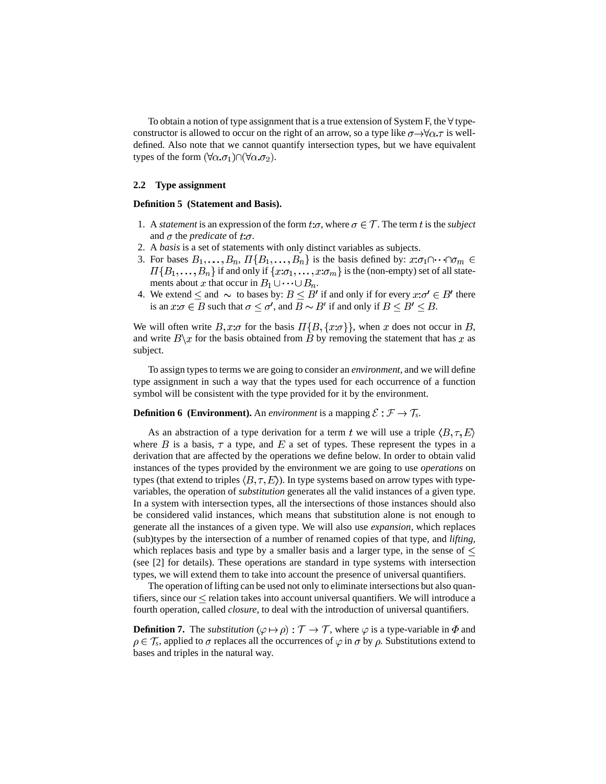To obtain a notion of type assignment that is a true extension of System F, the  $\forall$  typeconstructor is allowed to occur on the right of an arrow, so a type like  $\sigma \rightarrow \forall \alpha \tau$  is welldefined. Also note that we cannot quantify intersection types, but we have equivalent types of the form  $(\forall \alpha.\sigma_1) \cap (\forall \alpha.\sigma_2)$ .

#### **2.2 Type assignment**

#### **Definition 5 (Statement and Basis).**

- 1. A *statement* is an expression of the form  $t:\sigma$ , where  $\sigma \in \mathcal{T}$ . The term t is the *subject* and  $\sigma$  the *predicate* of  $t:\sigma$ .
- 2. A *basis* is a set of statements with only distinct variables as subjects.
- 3. For bases  $B_1, \ldots, B_n$ ,  $\Pi\{B_1, \ldots, B_n\}$  is the basis defined by:  $x:\sigma_1 \cap \cdots \cap \sigma_m \in$  $I\{B_1,\ldots,B_n\}$  if and only if  $\{x:\sigma_1,\ldots,x:\sigma_m\}$  is the (non-empty) set of all statements about x that occur in  $B_1 \cup \cdots \cup B_n$ .
- 4. We extend  $\leq$  and  $\sim$  to bases by:  $B \leq B'$  if and only if for every  $x:\sigma' \in B'$  there is an  $x:\sigma \in B$  such that  $\sigma \leq \sigma'$ , and  $B \sim B'$  if and only if  $B \leq B' \leq B$ .

We will often write  $B, x:\sigma$  for the basis  $\Pi\{B, \{x:\sigma\}\}\,$ , when x does not occur in B, and write  $B\setminus x$  for the basis obtained from B by removing the statement that has x as subject.

To assign types to terms we are going to consider an *environment*, and we will define type assignment in such a way that the types used for each occurrence of a function symbol will be consistent with the type provided for it by the environment.

#### **Definition 6** (**Environment**). An *environment* is a mapping  $\mathcal{E}: \mathcal{F} \to \mathcal{T}_s$ .

As an abstraction of a type derivation for a term t we will use a triple  $\langle B, \tau, E \rangle$ where  $B$  is a basis,  $\tau$  a type, and  $E$  a set of types. These represent the types in a derivation that are affected by the operations we define below. In order to obtain valid instances of the types provided by the environment we are going to use *operations* on types (that extend to triples  $(B, \tau, E)$ ). In type systems based on arrow types with typevariables, the operation of *substitution* generates all the valid instances of a given type. In a system with intersection types, all the intersections of those instances should also be considered valid instances, which means that substitution alone is not enough to generate all the instances of a given type. We will also use *expansion*, which replaces (sub)types by the intersection of a number of renamed copies of that type, and *lifting*, which replaces basis and type by a smaller basis and a larger type, in the sense of  $\leq$ (see [2] for details). These operations are standard in type systems with intersection types, we will extend them to take into account the presence of universal quantifiers.

The operation of lifting can be used not only to eliminate intersections but also quantifiers, since our  $\leq$  relation takes into account universal quantifiers. We will introduce a fourth operation, called *closure*, to deal with the introduction of universal quantifiers.

**Definition 7.** The *substitution* ( $\varphi \mapsto \rho$ ) :  $\mathcal{T} \to \mathcal{T}$ , where  $\varphi$  is a type-variable in  $\Phi$  and  $\rho \in \mathcal{T}_s$ , applied to  $\sigma$  replaces all the occurrences of  $\varphi$  in  $\sigma$  by  $\rho$ . Substitutions extend to bases and triples in the natural way.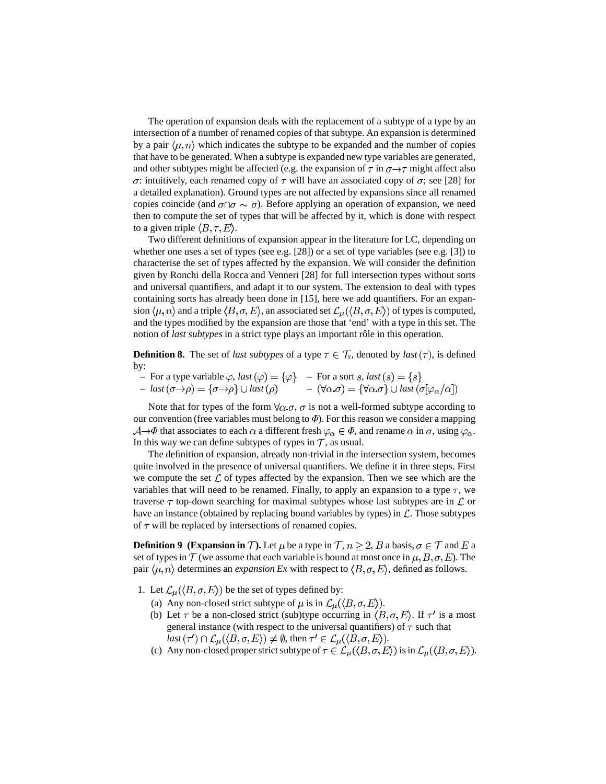The operation of expansion deals with the replacement of a subtype of a type by an intersection of a number of renamed copies of that subtype. An expansion is determined by a pair  $\langle \mu, n \rangle$  which indicates the subtype to be expanded and the number of copies that have to be generated. When a subtype is expanded new type variables are generated, and other subtypes might be affected (e.g. the expansion of  $\tau$  in  $\sigma \rightarrow \tau$  might affect also  $\sigma$ : intuitively, each renamed copy of  $\tau$  will have an associated copy of  $\sigma$ ; see [28] for a detailed explanation). Ground types are not affected by expansions since all renamed copies coincide (and  $\sigma \cap \sigma \sim \sigma$ ). Before applying an operation of expansion, we need then to compute the set of types that will be affected by it, which is done with respect to a given triple  $\langle B, \tau, E \rangle$ .

Two different definitions of expansion appear in the literature for LC, depending on whether one uses a set of types (see e.g. [28]) or a set of type variables (see e.g. [3]) to characterise the set of types affected by the expansion. We will consider the definition given by Ronchi della Rocca and Venneri [28] for full intersection types without sorts and universal quantifiers, and adapt it to our system. The extension to deal with types containing sorts has already been done in [15], here we add quantifiers. For an expansion  $\langle \mu, n \rangle$  and a triple  $\langle B, \sigma, E \rangle$ , an associated set  $\mathcal{L}_{\mu}(\langle B, \sigma, E \rangle)$  of types is computed, and the types modified by the expansion are those that 'end' with a type in this set. The notion of *last subtypes* in a strict type plays an important rôle in this operation.

**Definition 8.** The set of *last subtypes* of a type  $\tau \in \mathcal{T}_s$ , denoted by *last*  $(\tau)$ , is defined by:

- $-$  For a type variable  $\varphi$ , *last*  $-$  For a sort *s*, *last*
- $-$  *last*  $(\sigma \rightarrow \rho) = {\sigma \rightarrow \rho} \cup last$  $(\forall \alpha . \sigma) = \{\forall \alpha . \sigma\} \cup last$

Note that for types of the form  $\forall \alpha \cdot \sigma$ ,  $\sigma$  is not a well-formed subtype according to our convention (free variables must belong to  $\Phi$ ). For this reason we consider a mapping  $\mathcal{A} \rightarrow \Phi$  that associates to each  $\alpha$  a different fresh  $\varphi_{\alpha} \in \Phi$ , and rename  $\alpha$  in  $\sigma$ , using  $\varphi_{\alpha}$ . In this way we can define subtypes of types in  $\mathcal T$ , as usual.

The definition of expansion, already non-trivial in the intersection system, becomes quite involved in the presence of universal quantifiers. We define it in three steps. First we compute the set  $\mathcal L$  of types affected by the expansion. Then we see which are the variables that will need to be renamed. Finally, to apply an expansion to a type  $\tau$ , we traverse  $\tau$  top-down searching for maximal subtypes whose last subtypes are in  $\mathcal L$  or have an instance (obtained by replacing bound variables by types) in  $\mathcal L$ . Those subtypes of  $\tau$  will be replaced by intersections of renamed copies.

**Definition 9** (Expansion in T). Let  $\mu$  be a type in  $\mathcal{T}, n > 2$ , B a basis,  $\sigma \in \mathcal{T}$  and E a set of types in  $\mathcal T$  (we assume that each variable is bound at most once in  $\mu$ ,  $B$ ,  $\sigma$ ,  $E$ ). The pair  $\langle \mu, n \rangle$  determines an *expansion Ex* with respect to  $\langle B, \sigma, E \rangle$ , defined as follows.

- 1. Let  $\mathcal{L}_{\mu}(\langle B,\sigma, E \rangle)$  be the set of types defined by:
	- (a) Any non-closed strict subtype of  $\mu$  is in  $\mathcal{L}_{\mu}(\langle B, \sigma, E \rangle)$ .
	- (b) Let  $\tau$  be a non-closed strict (sub)type occurring in  $\langle B, \sigma, E \rangle$ . If  $\tau'$  is a most general instance (with respect to the universal quantifiers) of  $\tau$  such that  $last(\tau') \cap \mathcal{L}_{\mu}(\langle B, \sigma, E \rangle) \neq \emptyset$ , then  $\tau' \in \mathcal{L}_{\mu}(\langle B, \sigma, E \rangle)$ .
	- (c) Any non-closed proper strict subtype of  $\tau \in \mathcal{L}_{\mu}(\langle B, \sigma, E \rangle)$  is in  $\mathcal{L}_{\mu}(\langle B, \sigma, E \rangle)$ .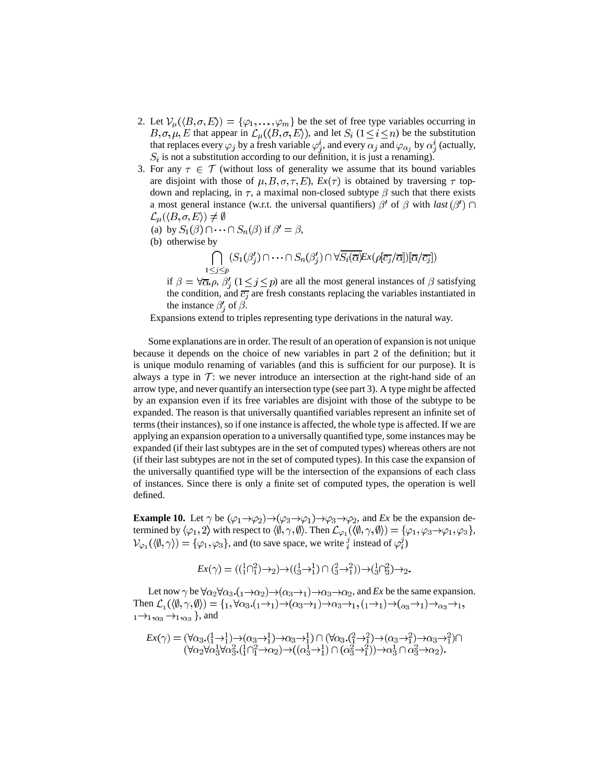- 2. Let  $\mathcal{V}_{\mu}(\langle B,\sigma,E\rangle) = \{\varphi_1,\ldots,\varphi_m\}$  be the set of free type variables occurring in  $B, \sigma, \mu, E$  that appear in  $\mathcal{L}_{\mu}(\langle B, \sigma, E \rangle)$ , and let  $S_i$   $(1 \leq i \leq n)$  be the substitution that replaces every  $\varphi_j$  by a fresh variable  $\varphi_j^i$ , and every  $\alpha_j$  and  $\varphi_{\alpha_j}$  by  $\alpha_j^i$  (actually,  $S_i$  is not a substitution according to our definition, it is just a renaming).
- 3. For any  $\tau \in \mathcal{T}$  (without loss of generality we assume that its bound variables are disjoint with those of  $\mu$ , *B*,  $\sigma$ ,  $\tau$ , *E*), *Ex*( $\tau$ ) is obtained by traversing  $\tau$  topdown and replacing, in  $\tau$ , a maximal non-closed subtype  $\beta$  such that there exists a most general instance (w.r.t. the universal quantifiers)  $\beta'$  of  $\beta$  with *last* ( $\beta'$ )  $\cap$  $\mathcal{L}_{\mu}(\langle B,\sigma,E\rangle)\neq\emptyset$ 
	- (a) by  $S_1(\beta) \cap \cdots \cap S_n(\beta)$  if  $\beta' = \beta$ ,
	- (b) otherwise by
		- $\bigcap_{1 \leq j \leq p} (S_1(\beta'_j) \cap \cdots \cap S_n(\beta'_j) \cap \forall \overline{S_i(\overline{\alpha})} \mathbb{E}_x(\rho[\overline{c_j}/\overline{\alpha}])[\overline{\alpha}/\overline{c_j}])$

if  $\beta = \forall \overline{\alpha} \rho$ ,  $\beta'_i$  ( $1 \leq j \leq p$ ) are all the most general instances of  $\beta$  satisfying the condition, and  $\overline{c_j}$  are fresh constants replacing the variables instantiated in the instance  $\beta_i'$  of  $\beta$ .

Expansions extend to triples representing type derivations in the natural way.

Some explanations are in order. The result of an operation of expansion is not unique because it depends on the choice of new variables in part 2 of the definition; but it is unique modulo renaming of variables (and this is sufficient for our purpose). It is always a type in  $\mathcal T$ : we never introduce an intersection at the right-hand side of an arrow type, and never quantify an intersection type (see part 3). A type might be affected by an expansion even if its free variables are disjoint with those of the subtype to be expanded. The reason is that universally quantified variables represent an infinite set of terms (their instances), so if one instance is affected, the whole type is affected. If we are applying an expansion operation to a universally quantified type, some instances may be expanded (if their last subtypes are in the set of computed types) whereas others are not (if their last subtypes are not in the set of computed types). In this case the expansion of the universally quantified type will be the intersection of the expansions of each class of instances. Since there is only a finite set of computed types, the operation is well defined.

**Example 10.** Let  $\gamma$  be  $(\varphi_1 \rightarrow \varphi_2) \rightarrow (\varphi_3 \rightarrow \varphi_1) \rightarrow \varphi_3 \rightarrow \varphi_2$ , and *Ex* be the expansion determined by  $\langle \varphi_1, 2 \rangle$  with respect to  $\langle \emptyset, \gamma, \emptyset \rangle$ . Then  $\mathcal{L}_{\varphi_1}(\langle \emptyset, \gamma, \emptyset \rangle) = {\varphi_1, \varphi_3 \rightarrow \varphi_1, \varphi_3}$ ,  $\mathcal{V}_{\varphi_1}(\langle \emptyset, \gamma \rangle) = \{\varphi_1, \varphi_3\}$ , and (to save space, we write  $i \in \mathcal{I}$  instead of  $\varphi_i^j$ )

$$
Ex(\gamma)=\left(\left(\begin{smallmatrix}1&1\\1&1\end{smallmatrix}\right)\rightarrow_2\right)\rightarrow \left(\left(\begin{smallmatrix}1&1\\3&1\end{smallmatrix}\right)\cap\left(\begin{smallmatrix}2&2\\3&1\end{smallmatrix}\right)\right)\rightarrow \left(\begin{smallmatrix}1&1\\3&1\end{smallmatrix}\right)\rightarrow_2.
$$

Let now  $\gamma$  be  $\forall \alpha_2 \forall \alpha_3$ .  $(1 \rightarrow \alpha_2) \rightarrow (\alpha_3 \rightarrow 1) \rightarrow \alpha_3 \rightarrow \alpha_2$ , and *Ex* be the same expansion. Then  $\mathcal{L}_1(\langle \emptyset, \gamma, \emptyset \rangle) = \{_1, \forall \alpha_3 \cdot (\alpha_1 \to 1) \to (\alpha_3 \to 1) \to \alpha_3 \to \alpha_1, (\alpha_1 \to 1) \to (\alpha_3 \to 1) \to \alpha_3 \to \alpha_1,$  $_1\rightarrow_{1,\alpha_3}\rightarrow_{1,\alpha_3}$ , and

$$
Ex(\gamma) = (\forall \alpha_3 \cdot (\frac{1}{1} \rightarrow \frac{1}{1}) \rightarrow (\alpha_3 \rightarrow \frac{1}{1}) \rightarrow \alpha_3 \rightarrow \frac{1}{1}) \cap (\forall \alpha_3 \cdot (\frac{2}{1} \rightarrow \frac{2}{1}) \rightarrow (\alpha_3 \rightarrow \frac{2}{1}) \rightarrow \alpha_3 \rightarrow \frac{2}{1}) \cap (\forall \alpha_2 \forall \alpha_3^1 \forall \alpha_3^2 \cdot (\frac{1}{1} \cap \frac{2}{1} \rightarrow \alpha_2) \rightarrow ((\alpha_3^1 \rightarrow \frac{1}{1}) \cap (\alpha_3^2 \rightarrow \frac{2}{1})) \rightarrow \alpha_3^1 \cap \alpha_3^2 \rightarrow \alpha_2).
$$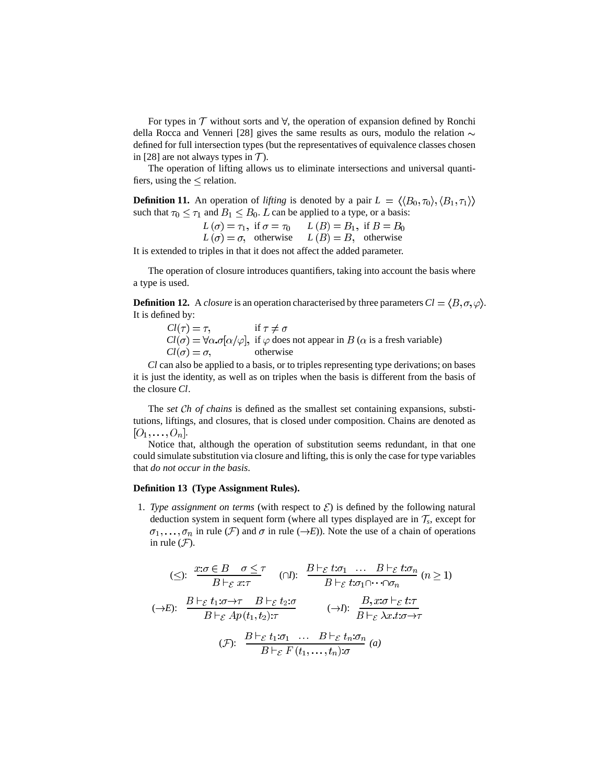For types in  $T$  without sorts and  $\forall$ , the operation of expansion defined by Ronchi della Rocca and Venneri [28] gives the same results as ours, modulo the relation  $\sim$ defined for full intersection types (but the representatives of equivalence classes chosen in [28] are not always types in  $\mathcal{T}$ ).

The operation of lifting allows us to eliminate intersections and universal quantifiers, using the  $\leq$  relation.

**Definition 11.** An operation of *lifting* is denoted by a pair  $L = \langle \langle B_0, \tau_0 \rangle, \langle B_1, \tau_1 \rangle \rangle$ such that  $\tau_0 \leq \tau_1$  and  $B_1 \leq B_0$ . L can be applied to a type, or a basis:

> $L(\sigma) = \tau_1$ , if  $\sigma = \tau_0$   $L(B) = B_1$ , if  $L(\sigma) = \sigma$ , otherwise  $L(B) = B$ , otherwise

It is extended to triples in that it does not affect the added parameter.

The operation of closure introduces quantifiers, taking into account the basis where a type is used.

**Definition 12.** A *closure* is an operation characterised by three parameters  $Cl = \langle B, \sigma, \varphi \rangle$ . It is defined by:

$$
Cl(\tau) = \tau, \quad \text{if } \tau \neq \sigma
$$
  
Cl(\sigma) =  $\forall \alpha . \sigma[\alpha/\varphi]$ , if  $\varphi$  does not appear in  $B$  ( $\alpha$  is a fresh variable)  
Cl(\sigma) =  $\sigma$ , otherwise

*Cl* can also be applied to a basis, or to triples representing type derivations; on bases it is just the identity, as well as on triples when the basis is different from the basis of the closure *Cl*.

The *set Ch of chains* is defined as the smallest set containing expansions, substitutions, liftings, and closures, that is closed under composition. Chains are denoted as  $[O_1,\ldots,O_n].$ 

Notice that, although the operation of substitution seems redundant, in that one could simulate substitution via closure and lifting, this is only the case for type variables that *do not occur in the basis*.

#### **Definition 13 (Type Assignment Rules).**

1. *Type assignment on terms* (with respect to  $\mathcal{E}$ ) is defined by the following natural deduction system in sequent form (where all types displayed are in  $\mathcal{T}_s$ , except for  $\sigma_1, \ldots, \sigma_n$  in rule (*F*) and  $\sigma$  in rule ( $\rightarrow$ *E*)). Note the use of a chain of operations in rule  $(F)$ .

$$
\begin{aligned}\n &\text{($\leq$): } \frac{x:\sigma \in B \quad \sigma \leq \tau}{B \vdash_{\mathcal{E}} x:\tau} \quad \text{($\cap$I): } \frac{B \vdash_{\mathcal{E}} t:\sigma_1 \quad \dots \quad B \vdash_{\mathcal{E}} t:\sigma_n}{B \vdash_{\mathcal{E}} t:\sigma_1 \cap \dots \cap \sigma_n} \quad (n \geq 1) \\
 &\text{($\to$E): } \frac{B \vdash_{\mathcal{E}} t_1:\sigma \to \tau \quad B \vdash_{\mathcal{E}} t_2:\sigma}{B \vdash_{\mathcal{E}} Ap(t_1, t_2):\tau} \quad \text{($\to$I): } \frac{B, x:\sigma \vdash_{\mathcal{E}} t:\tau}{B \vdash_{\mathcal{E}} \lambda x.t:\sigma \to \tau} \\
 &\text{($\mathcal{F}$): } \frac{B \vdash_{\mathcal{E}} t_1:\sigma_1 \quad \dots \quad B \vdash_{\mathcal{E}} t_n:\sigma_n}{B \vdash_{\mathcal{E}} F(t_1, \dots, t_n):\sigma} \quad (a)\n \end{aligned}
$$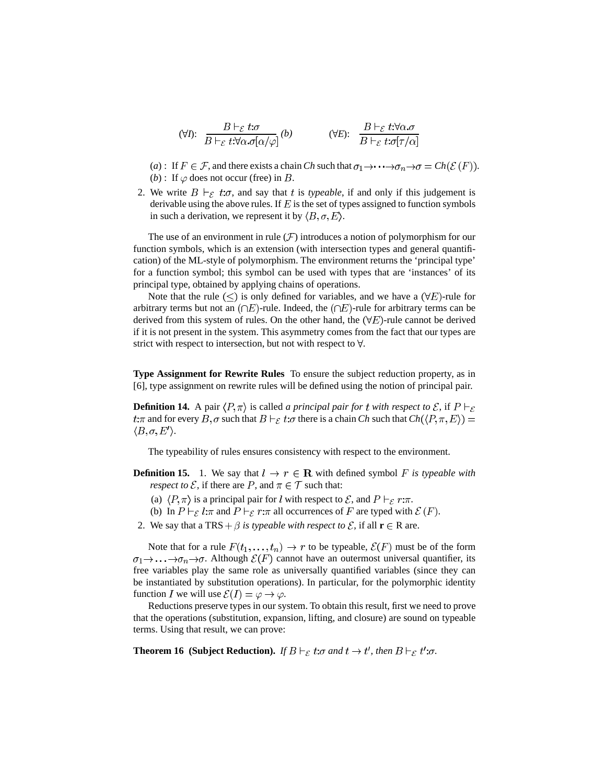$$
(\forall I): \frac{B\vdash_{\mathcal{E}} t:\sigma}{B\vdash_{\mathcal{E}} t:\forall \alpha.\sigma[\alpha/\varphi]}(b) \qquad (\forall E): \frac{B\vdash_{\mathcal{E}} t:\forall \alpha.\sigma}{B\vdash_{\mathcal{E}} t:\sigma[\tau/\alpha]}
$$

(*a*) : If  $F \in \mathcal{F}$ , and there exists a chain *Ch* such that  $\sigma_1 \rightarrow \cdots \rightarrow \sigma_n \rightarrow \sigma = Ch(\mathcal{E}(F))$ . (*b*) : If  $\varphi$  does not occur (free) in B.

2. We write  $B \vdash_{\mathcal{E}} t:\sigma$ , and say that t is *typeable*, if and only if this judgement is derivable using the above rules. If  $E$  is the set of types assigned to function symbols in such a derivation, we represent it by  $\langle B, \sigma, E \rangle$ .

The use of an environment in rule  $(F)$  introduces a notion of polymorphism for our function symbols, which is an extension (with intersection types and general quantification) of the ML-style of polymorphism. The environment returns the 'principal type' for a function symbol; this symbol can be used with types that are 'instances' of its principal type, obtained by applying chains of operations.

Note that the rule  $(\leq)$  is only defined for variables, and we have a  $(\forall E)$ -rule for arbitrary terms but not an  $(\cap E)$ -rule. Indeed, the  $(\cap E)$ -rule for arbitrary terms can be derived from this system of rules. On the other hand, the  $(\forall E)$ -rule cannot be derived if it is not present in the system. This asymmetry comes from the fact that our types are strict with respect to intersection, but not with respect to  $\forall$ .

**Type Assignment for Rewrite Rules** To ensure the subject reduction property, as in [6], type assignment on rewrite rules will be defined using the notion of principal pair.

**Definition 14.** A pair  $\langle P, \pi \rangle$  is called *a principal pair for t with respect to*  $\mathcal{E}$ , if  $P \vdash_{\mathcal{E}}$  $t:\pi$  and for every  $B, \sigma$  such that  $B \vdash_{\mathcal{E}} t:\sigma$  there is a chain *Ch* such that  $Ch(\langle P, \pi, E \rangle)$  =  $\langle B,\sigma,E'\rangle.$ 

The typeability of rules ensures consistency with respect to the environment.

- **Definition 15.** 1. We say that  $l \rightarrow r \in \mathbb{R}$  with defined symbol *F* is typeable with *respect to*  $\mathcal{E}$ , if there are  $P$ , and  $\pi \in \mathcal{T}$  such that:
	- (a)  $\langle P, \pi \rangle$  is a principal pair for l with respect to  $\mathcal{E}$ , and  $P \vdash_{\mathcal{E}} r : \pi$ .
	- (b) In  $P \vdash_{\mathcal{E}} l:\pi$  and  $P \vdash_{\mathcal{E}} r:\pi$  all occurrences of F are typed with  $\mathcal{E}(F)$ .
- 2. We say that a TRS  $+ \beta$  *is typeable with respect to*  $\mathcal{E}$ , if all  $\mathbf{r} \in \mathbb{R}$  are.

Note that for a rule  $F(t_1, \ldots, t_n) \to r$  to be typeable,  $\mathcal{E}(F)$  must be of the form  $\sigma_1 \rightarrow \cdots \rightarrow \sigma_n \rightarrow \sigma$ . Although  $\mathcal{E}(F)$  cannot have an outermost universal quantifier, its free variables play the same role as universally quantified variables (since they can be instantiated by substitution operations). In particular, for the polymorphic identity function I we will use  $\mathcal{E}(I) = \varphi \to \varphi$ .

Reductions preserve types in our system. To obtain this result, first we need to prove that the operations (substitution, expansion, lifting, and closure) are sound on typeable terms. Using that result, we can prove:

**Theorem 16 (Subject Reduction).** *If*  $B \vdash_{\mathcal{E}} t:\sigma$  *and*  $t \to t'$ *, then*  $B \vdash_{\mathcal{E}} t':\sigma$ *.*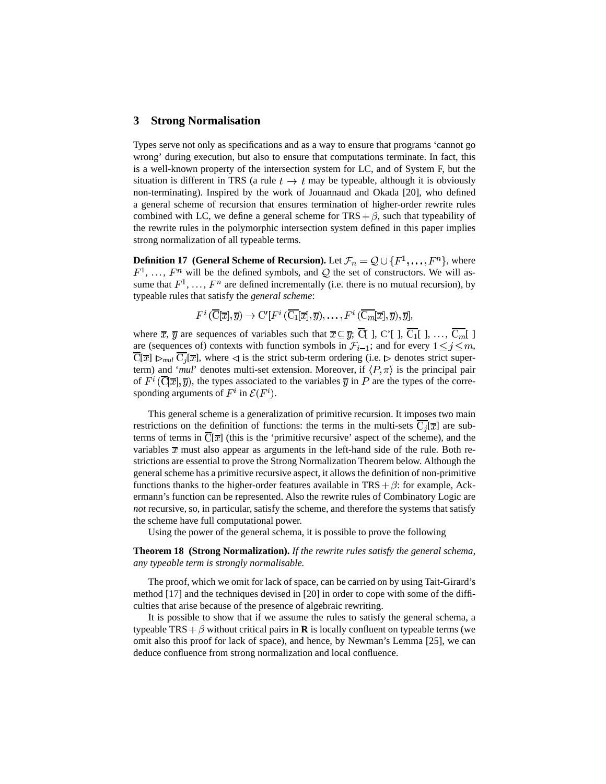### **3 Strong Normalisation**

Types serve not only as specifications and as a way to ensure that programs 'cannot go wrong' during execution, but also to ensure that computations terminate. In fact, this is a well-known property of the intersection system for LC, and of System F, but the situation is different in TRS (a rule  $t \to t$  may be typeable, although it is obviously non-terminating). Inspired by the work of Jouannaud and Okada [20], who defined a general scheme of recursion that ensures termination of higher-order rewrite rules combined with LC, we define a general scheme for  $TRS + \beta$ , such that typeability of the rewrite rules in the polymorphic intersection system defined in this paper implies strong normalization of all typeable terms.

**Definition 17 (General Scheme of Recursion).** Let  $\mathcal{F}_n = \mathcal{Q} \cup \{F^1, \ldots, F^n\}$ , where  $F^1, \ldots, F^n$  will be the defined symbols, and Q the set of constructors. We will assume that  $F^1, \ldots, F^n$  are defined incrementally (i.e. there is no mutual recursion), by typeable rules that satisfy the *general scheme*:

$$
F^i\left(\overline{\mathrm{C}}[\overline{x}], \overline{y}\right) \to \mathrm{C}'[F^i\left(\overline{\mathrm{C}_1}[\overline{x}], \overline{y}\right), \ldots, F^i\left(\overline{\mathrm{C}_m}[\overline{x}], \overline{y}\right), \overline{y}],
$$

where  $\bar{x}$ ,  $\bar{y}$  are sequences of variables such that  $\bar{x} \subseteq \bar{y}$ ;  $\bar{C}$ [], C'[],  $\bar{C}_1$ [], ...,  $\bar{C}_m$ [] are (sequences of) contexts with function symbols in  $\mathcal{F}_{i-1}$ ; and for every  $1 \leq j \leq m$ ,  $\overline{C}[\overline{x}] \triangleright_{mul} \overline{C_j}[\overline{x}]$ , where  $\triangleleft$  is the strict sub-term ordering (i.e.  $\triangleright$  denotes strict superterm) and '*mul*' denotes multi-set extension. Moreover, if  $\langle P, \pi \rangle$  is the principal pair of  $F^i(\overline{C}|\overline{x}|, \overline{y})$ , the types associated to the variables  $\overline{y}$  in P are the types of the corresponding arguments of  $F^i$  in  $\mathcal{E}(F^i)$ .

This general scheme is a generalization of primitive recursion. It imposes two main restrictions on the definition of functions: the terms in the multi-sets  $\overline{C_i}[\overline{x}]$  are subterms of terms in  $\overline{C}[\overline{x}]$  (this is the 'primitive recursive' aspect of the scheme), and the variables  $\bar{x}$  must also appear as arguments in the left-hand side of the rule. Both restrictions are essential to prove the Strong Normalization Theorem below. Although the general scheme has a primitive recursive aspect, it allows the definition of non-primitive functions thanks to the higher-order features available in  $TRS + \beta$ : for example, Ackermann's function can be represented. Also the rewrite rules of Combinatory Logic are *not* recursive, so, in particular, satisfy the scheme, and therefore the systems that satisfy the scheme have full computational power.

Using the power of the general schema, it is possible to prove the following

**Theorem 18 (Strong Normalization).** *If the rewrite rules satisfy the general schema, any typeable term is strongly normalisable.*

The proof, which we omit for lack of space, can be carried on by using Tait-Girard's method [17] and the techniques devised in [20] in order to cope with some of the difficulties that arise because of the presence of algebraic rewriting.

It is possible to show that if we assume the rules to satisfy the general schema, a typeable TRS  $+\beta$  without critical pairs in **R** is locally confluent on typeable terms (we omit also this proof for lack of space), and hence, by Newman's Lemma [25], we can deduce confluence from strong normalization and local confluence.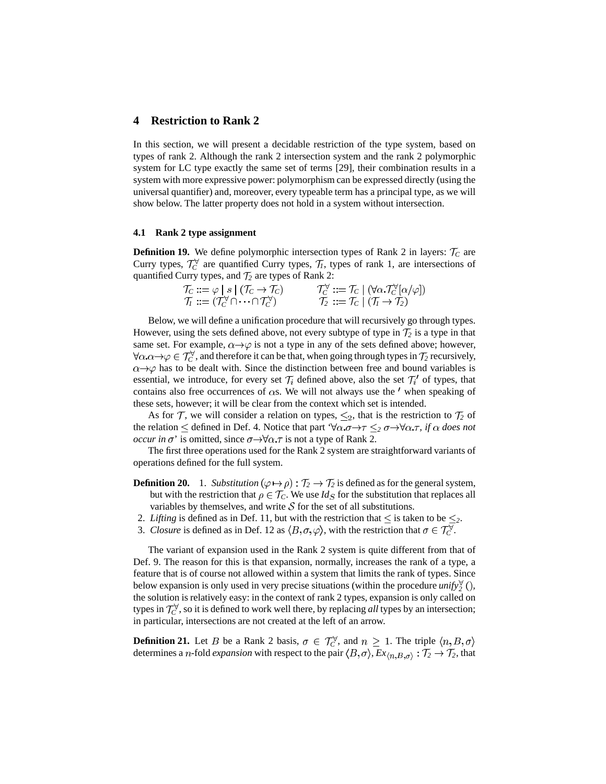## **4 Restriction to Rank 2**

In this section, we will present a decidable restriction of the type system, based on types of rank 2. Although the rank 2 intersection system and the rank 2 polymorphic system for LC type exactly the same set of terms [29], their combination results in a system with more expressive power: polymorphism can be expressed directly (using the universal quantifier) and, moreover, every typeable term has a principal type, as we will show below. The latter property does not hold in a system without intersection.

#### **4.1 Rank 2 type assignment**

**Definition 19.** We define polymorphic intersection types of Rank 2 in layers:  $\mathcal{T}_C$  are Curry types,  $\mathcal{T}_C^{\forall}$  are quantified Curry types,  $\mathcal{T}_I$ , types of rank 1, are intersections of quantified Curry types, and  $\mathcal{T}_2$  are types of Rank 2:

| $\mathcal{T}_C ::= \varphi \mid s \mid (\mathcal{T}_C \to \mathcal{T}_C)$             | $\mathcal{T}_C^{\forall} ::= \mathcal{T}_C \mid (\forall \alpha \cdot \mathcal{T}_C^{\forall}[\alpha/\varphi])$ |
|---------------------------------------------------------------------------------------|-----------------------------------------------------------------------------------------------------------------|
| $\mathcal{T}_I := (\mathcal{T}_C^{\forall} \cap \cdots \cap \mathcal{T}_C^{\forall})$ | $\mathcal{T}_2 ::= \mathcal{T}_C \mid (\mathcal{T}_1 \rightarrow \mathcal{T}_2)$                                |

Below, we will define a unification procedure that will recursively go through types. However, using the sets defined above, not every subtype of type in  $\mathcal{T}_2$  is a type in that same set. For example,  $\alpha \rightarrow \varphi$  is not a type in any of the sets defined above; however,  $\forall \alpha \ldotp \alpha \rightarrow \varphi \in \mathcal{T}_C^{\forall}$ , and therefore it can be that, when going through types in  $\mathcal{T}_2$  recursively,  $\alpha \rightarrow \varphi$  has to be dealt with. Since the distinction between free and bound variables is essential, we introduce, for every set  $\mathcal{T}_i$  defined above, also the set  $\mathcal{T}'_i$  of types, that contains also free occurrences of  $\alpha$ s. We will not always use the ' when speaking of these sets, however; it will be clear from the context which set is intended.

As for  $\mathcal{T}$ , we will consider a relation on types,  $\leq_2$ , that is the restriction to  $\mathcal{T}_2$  of the relation  $\leq$  defined in Def. 4. Notice that part ' $\forall \alpha.\sigma \rightarrow \tau \leq_2 \sigma \rightarrow \forall \alpha.\tau$ , if  $\alpha$  does not *occur in*  $\sigma$ ' is omitted, since  $\sigma \rightarrow \forall \alpha \tau$  is not a type of Rank 2.

The first three operations used for the Rank 2 system are straightforward variants of operations defined for the full system.

- **Definition 20.** 1. *Substitution*  $(\varphi \mapsto \rho) : \mathcal{T}_2 \to \mathcal{T}_2$  is defined as for the general system, but with the restriction that  $\rho \in \mathcal{T}_C$ . We use *Id<sub>S</sub>* for the substitution that replaces all variables by themselves, and write  $S$  for the set of all substitutions.
- 2. *Lifting* is defined as in Def. 11, but with the restriction that  $\leq$  is taken to be  $\leq$ .
- 3. *Closure* is defined as in Def. 12 as  $\langle B, \sigma, \varphi \rangle$ , with the restriction that  $\sigma \in \mathcal{T}_C^{\forall}$ .

The variant of expansion used in the Rank 2 system is quite different from that of Def. 9. The reason for this is that expansion, normally, increases the rank of a type, a feature that is of course not allowed within a system that limits the rank of types. Since below expansion is only used in very precise situations (within the procedure  $unify_2^{\forall}$  (), the solution is relatively easy: in the context of rank 2 types, expansion is only called on types in  $\mathcal{T}_c^{\forall}$ , so it is defined to work well there, by replacing *all* types by an intersection; in particular, intersections are not created at the left of an arrow.

**Definition 21.** Let B be a Rank 2 basis,  $\sigma \in \mathcal{T}_C^{\forall}$ , and  $n \geq 1$ . The triple  $\langle n, B, \sigma \rangle$ determines a *n*-fold *expansion* with respect to the pair  $\langle B, \sigma \rangle$ ,  $Ex_{\langle n,B,\sigma \rangle} : T_2 \to T_2$ , that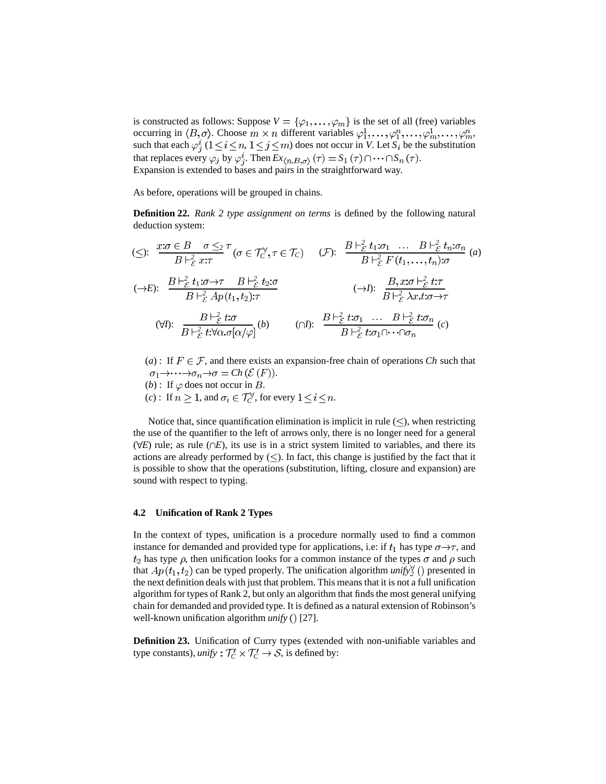is constructed as follows: Suppose  $V = {\varphi_1, \ldots, \varphi_m}$  is the set of all (free) variables occurring in  $\langle B,\sigma\rangle$ . Choose  $m \times n$  different variables  $\varphi_1^1,\ldots,\varphi_1^n,\ldots,\varphi_m^n,\ldots,\varphi_m^n$ such that each  $\varphi_j^i$   $(1 \le i \le n, 1 \le j \le m)$  does not occur in *V*. Let  $S_i$  be the substitution that replaces every  $\varphi_j$  by  $\varphi_j^i$ . Then  $Ex_{\langle n,B,\sigma\rangle}(\tau) = S_1(\tau) \cap \cdots \cap S_n(\tau)$ . Expansion is extended to bases and pairs in the straightforward way.

As before, operations will be grouped in chains.

**Definition 22.** *Rank 2 type assignment on terms* is defined by the following natural deduction system:

$$
\begin{aligned}\n&\text{($\leq$): } \frac{x:\sigma \in B \quad \sigma \leq_2 \tau}{B \vdash_{\varepsilon}^2 x:\tau} (\sigma \in \mathcal{T}_{C}^{\vee}, \tau \in \mathcal{T}_{C}) \quad (\mathcal{F}) : \quad & \frac{B \vdash_{\varepsilon}^2 t_1:\sigma_1 \quad \dots \quad B \vdash_{\varepsilon}^2 t_n:\sigma_n}{B \vdash_{\varepsilon}^2 F(t_1, \dots, t_n):\sigma} \text{ (a)} \\
&\text{($\to$E$): } \frac{B \vdash_{\varepsilon}^2 t_1:\sigma \to \tau \quad B \vdash_{\varepsilon}^2 t_2:\sigma}{B \vdash_{\varepsilon}^2 A p(t_1, t_2):\tau} \quad \text{($\to$I$): } \frac{B, x:\sigma \vdash_{\varepsilon}^2 t:\tau}{B \vdash_{\varepsilon}^2 \lambda x.t:\sigma \to \tau} \\
&\text{($\forall$I$): } \frac{B \vdash_{\varepsilon}^2 t:\sigma}{B \vdash_{\varepsilon}^2 t:\sigma \circ \sigma[\alpha/\varphi]} \text{ (b)} \quad \text{($\cap$I$): } \frac{B \vdash_{\varepsilon}^2 t:\sigma_1 \quad \dots \quad B \vdash_{\varepsilon}^2 t:\sigma_n}{B \vdash_{\varepsilon}^2 t:\sigma_1 \cap \dots \cap \sigma_n} \text{ (c)}\n\end{aligned}
$$

(*a*) : If  $F \in \mathcal{F}$ , and there exists an expansion-free chain of operations *Ch* such that  $\sigma_1 \rightarrow \cdots \rightarrow \sigma_n \rightarrow \sigma = Ch \left( \mathcal{E} (F) \right).$ 

- (*b*): If  $\varphi$  does not occur in *B*.
- (*c*): If  $n \geq 1$ , and  $\sigma_i \in \mathcal{T}_C^{\forall}$ , for every  $1 \leq i \leq n$ .

Notice that, since quantification elimination is implicit in rule  $(\leq)$ , when restricting the use of the quantifier to the left of arrows only, there is no longer need for a general  $(\forall E)$  rule; as rule  $(\cap E)$ , its use is in a strict system limited to variables, and there its actions are already performed by  $(\le)$ . In fact, this change is justified by the fact that it is possible to show that the operations (substitution, lifting, closure and expansion) are sound with respect to typing.

#### **4.2 Unification of Rank 2 Types**

In the context of types, unification is a procedure normally used to find a common instance for demanded and provided type for applications, i.e: if  $t_1$  has type  $\sigma \rightarrow \tau$ , and  $t_2$  has type  $\rho$ , then unification looks for a common instance of the types  $\sigma$  and  $\rho$  such that  $Ap(t_1, t_2)$  can be typed properly. The unification algorithm *unify*<sup> $\forall$ </sup> () presented in the next definition deals with just that problem. This meansthat it is not a full unification algorithm for types of Rank 2, but only an algorithm that finds the most general unifying chain for demanded and provided type. It is defined as a natural extension of Robinson's well-known unification algorithm *unify* () [27].

**Definition 23.** Unification of Curry types (extended with non-unifiable variables and type constants), *unify*  $: T_C' \times T_C' \rightarrow S$ , is defined by: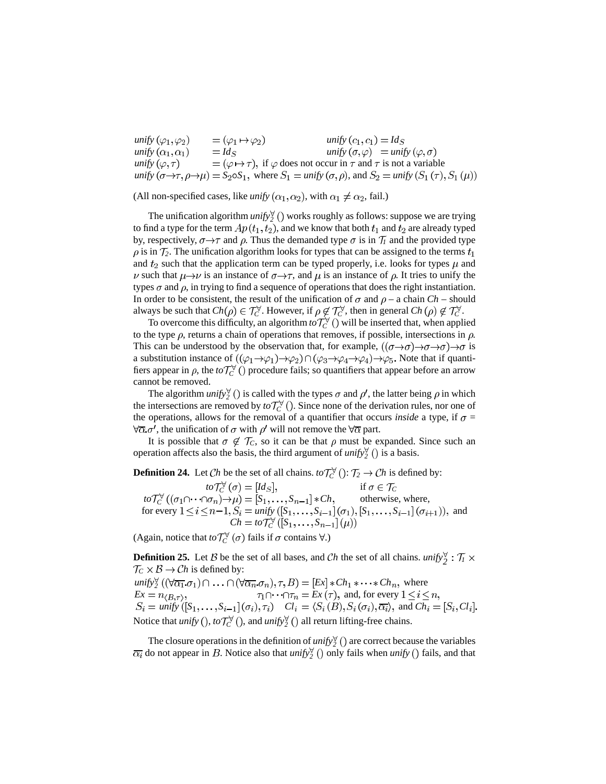$unify\left(\varphi_1,\varphi_2\right)$   $= \left(\varphi_1 \mapsto \varphi_2\right)$   $unify\left(c_1,c_1\right) = Id$  $unify\left(\alpha_{1}, \alpha_{1}\right)$   $= Id_{S}$   $unify\left(\sigma, \varphi\right)$   $= unify$ *unify*  $(\varphi, \tau)$  =  $(\varphi \mapsto \tau)$ , if  $\varphi$  does not occur in  $\tau$  and  $\tau$  is not a variable  $unify\ (\sigma \rightarrow \tau, \rho \rightarrow \mu) = S_2 \circ S_1$ , where  $S_1 = unify\ (\sigma, \rho)$ , and  $S_2 = unify$ 

(All non-specified cases, like *unify*  $(\alpha_1, \alpha_2)$ , with  $\alpha_1 \neq \alpha_2$ , fail.)

The unification algorithm  $unify_2^{\forall}$  () works roughly as follows: suppose we are trying to find a type for the term  $Ap(t_1, t_2)$ , and we know that both  $t_1$  and  $t_2$  are already typed by, respectively,  $\sigma \rightarrow \tau$  and  $\rho$ . Thus the demanded type  $\sigma$  is in  $\mathcal{T}_l$  and the provided type  $\rho$  is in  $\mathcal{T}_2$ . The unification algorithm looks for types that can be assigned to the terms  $t_1$ and  $t_2$  such that the application term can be typed properly, i.e. looks for types  $\mu$  and  $\nu$  such that  $\mu \rightarrow \nu$  is an instance of  $\sigma \rightarrow \tau$ , and  $\mu$  is an instance of  $\rho$ . It tries to unify the types  $\sigma$  and  $\rho$ , in trying to find a sequence of operations that does the right instantiation. In order to be consistent, the result of the unification of  $\sigma$  and  $\rho$  – a chain *Ch* – should always be such that  $Ch(\rho) \in \mathcal{T}_C^{\forall}$ . However, if  $\rho \notin \mathcal{T}_C^{\forall}$ , then in general  $Ch(\rho) \notin \mathcal{T}_C^{\forall}$ .

To overcome this difficulty, an algorithm  $to \tau_C^{\vee}$  () will be inserted that, when applied to the type  $\rho$ , returns a chain of operations that removes, if possible, intersections in  $\rho$ . This can be understood by the observation that, for example,  $((\sigma \rightarrow \sigma) \rightarrow \sigma \rightarrow \sigma) \rightarrow \sigma$  is a substitution instance of  $((\varphi_1 \to \varphi_1) \to \varphi_2) \cap (\varphi_3 \to \varphi_4 \to \varphi_4) \to \varphi_5$ . Note that if quantifiers appear in  $\rho$ , the *to*  $\mathcal{T}_C^{\forall}$  () procedure fails; so quantifiers that appear before an arrow cannot be removed.

The algorithm *unify*<sup> $\forall$ </sup> () is called with the types  $\sigma$  and  $\rho'$ , the latter being  $\rho$  in which the intersections are removed by  $to \mathcal{T}_C^{\forall}$  (). Since none of the derivation rules, nor one of the operations, allows for the removal of a quantifier that occurs *inside* a type, if  $\sigma$  =  $\forall \overline{\alpha} \cdot \sigma'$ , the unification of  $\sigma$  with  $\rho'$  will not remove the  $\forall \overline{\alpha}$  part.

It is possible that  $\sigma \notin \mathcal{T}_C$ , so it can be that  $\rho$  must be expanded. Since such an operation affects also the basis, the third argument of *unify*<sup> $\forall$ </sup> () is a basis.

**Definition 24.** Let *Ch* be the set of all chains.  $\iota \circ \mathcal{T}_C^{\forall}$  ():  $\mathcal{T}_2 \to Ch$  is defined by:

 $to \mathcal{T}_C^{\forall}(\sigma) = [Id_S],$  if  $\sigma \in \mathcal{T}_C$  $to \mathcal{T}_C^{\forall} ((\sigma_1 \cap \cdots \cap \sigma_n) \to \mu) = [S_1, \ldots, S_{n-1}] * Ch$ , otherwise, where, for every  $1 \le i \le n-1$ ,  $S_i = \text{unify } ([S_1, \ldots, S_{i-1}](\sigma_1), [S_1, \ldots, S_{i-1}](\sigma_{i+1}),$  and  $Ch = to\mathcal{T}_C^{\forall} ([S_1, \ldots, S])$ 

(Again, notice that  $\iota \circ \mathcal{T}_C^{\forall}(\sigma)$  fails if  $\sigma$  contains  $\forall$ .)

**Definition 25.** Let  $\beta$  be the set of all bases, and *Ch* the set of all chains. *unify*<sup> $\forall$ </sup>  $\colon \mathcal{T}_1 \times$  $\mathcal{T}_C \times \mathcal{B} \to \mathcal{C}h$  is defined by: *unify*<sub>2</sub><sup> $\forall$ </sup> (( $\forall \overline{\alpha_1}.\sigma_1$ )  $\cap$   $\ldots$   $\cap$  ( $\forall \overline{\alpha_n}.\sigma_n$ ),  $\tau$ ,  $B$ ) = [Ex]  $* Ch_1 * \cdots * Ch_n$ , where  $Ex = n_{(B,\tau)}$ ,  $\tau_1 \cap \cdots \cap \tau_n = Ex(\tau)$ , and, for every  $1 \le i \le n$  $Ex = n_{\langle B,\tau \rangle}$ ,  $\tau_1 \cap \cdots \cap \tau_n = Ex(\tau)$ , and, for every  $\mathcal{L}$  *Cl*<sub>i</sub> =  $\langle S_i, \ldots, S_{i-1} | (\sigma_i), \tau_i \rangle$   $Cl_i = \langle S_i(B), S_i(\sigma_i), \overline{\alpha_i} \rangle$ , and  $Ch_i = [S_i, Cl_i]$ 

Notice that *unify* (),  $to \mathcal{T}_C^{\forall}$  (), and *unify*  $\frac{\partial}{\partial \theta}$  all return lifting-free chains.

The closure operations in the definition of *unify*<sup> $\forall$ </sup> () are correct because the variables  $\overline{\alpha_i}$  do not appear in B. Notice also that *unify*  $\left(\right)$  only fails when *unify* () fails, and that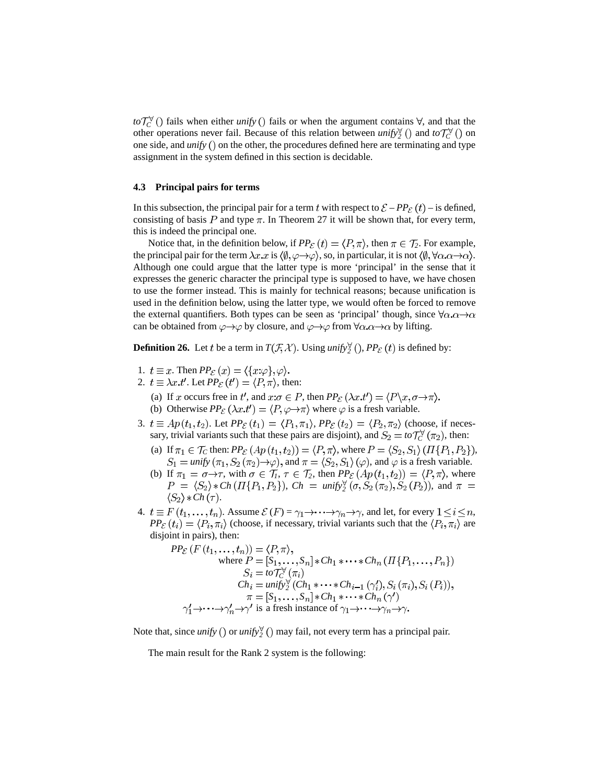$to \mathcal{T}_C^{\forall}$  () fails when either *unify* () fails or when the argument contains  $\forall$ , and that the other operations never fail. Because of this relation between *unify*<sub>2</sub><sup> $\vee$ </sup> () and *to*  $\mathcal{T}_C^{\vee}$  () on one side, and *unify*  $()$  on the other, the procedures defined here are terminating and type assignment in the system defined in this section is decidable.

#### **4.3 Principal pairs for terms**

In this subsection, the principal pair for a term t with respect to  $\mathcal{E} - PP_{\mathcal{E}}(t)$  – is defined, consisting of basis P and type  $\pi$ . In Theorem 27 it will be shown that, for every term, this is indeed the principal one.

Notice that, in the definition below, if  $PP_{\mathcal{E}}(t) = \langle P, \pi \rangle$ , then  $\pi \in \mathcal{T}_2$ . For example, the principal pair for the term  $\lambda x.x$  is  $\langle \emptyset, \varphi \rightarrow \varphi \rangle$ , so, in particular, it is not  $\langle \emptyset, \forall \alpha . \alpha \rightarrow \alpha \rangle$ . Although one could argue that the latter type is more 'principal' in the sense that it expresses the generic character the principal type is supposed to have, we have chosen to use the former instead. This is mainly for technical reasons; because unification is used in the definition below, using the latter type, we would often be forced to remove the external quantifiers. Both types can be seen as 'principal' though, since  $\forall \alpha \cdot \alpha \rightarrow \alpha$ can be obtained from  $\varphi \rightarrow \varphi$  by closure, and  $\varphi \rightarrow \varphi$  from  $\forall \alpha . \alpha \rightarrow \alpha$  by lifting.

**Definition 26.** Let t be a term in  $T(\mathcal{F}, \mathcal{X})$ . Using *unify*<sub>2</sub><sup> $\vee$ </sup> (*)*, *PP*<sub>*E*</sub> (*t*) is defined by:

- 1.  $t \equiv x$ . Then  $PP_{\mathcal{E}}(x) = \langle \{x:\varphi\}, \varphi \rangle$ .
- 2.  $t \equiv \lambda x \cdot t'$ . Let  $PP_{\mathcal{E}}(t') = \langle P, \pi \rangle$ , then:
	- (a) If x occurs free in t', and  $x:\sigma \in P$ , then  $PP_{\mathcal{E}}(\lambda x.t') = \langle P \setminus x, \sigma \to \pi \rangle$ .
	- (b) Otherwise  $PP_{\varepsilon}(\lambda x.t') = \langle P, \varphi \to \pi \rangle$  where  $\varphi$  is a fresh variable.
- 3.  $t \equiv Ap(t_1, t_2)$ . Let  $PP_{\mathcal{E}}(t_1) = \langle P_1, \pi_1 \rangle$ ,  $PP_{\mathcal{E}}(t_2) = \langle P_2, \pi_2 \rangle$  (choose, if necessary, trivial variants such that these pairs are disjoint), and  $S_2 = to \mathcal{T}_C^{\forall}(\pi_2)$ , then:
	- (a) If  $\pi_1 \in \mathcal{T}_C$  then:  $PP_{\mathcal{E}}(Ap(t_1, t_2)) = \langle P, \pi \rangle$ , where  $P = \langle S_2, S_1 \rangle (\Pi \{P_1, P_2\})$ ,  $S_1 = \text{unify}(\pi_1, S_2(\pi_2) \rightarrow \varphi)$ , and  $\pi = \langle S_2, S_1 \rangle (\varphi)$ , and  $\varphi$  is a fresh variable.
	- (b) If  $\pi_1 = \sigma \rightarrow \tau$ , with  $\sigma \in \mathcal{T}_1$ ,  $\tau \in \mathcal{T}_2$ , then  $PP_{\mathcal{E}}(Ap(t_1, t_2)) = \langle P, \pi \rangle$ , where *Ch*  $(\Pi\{P_1, P_2\})$ ,  $Ch = \text{unify}_2^{\forall} (\sigma, S_2(\pi_2), S_2(P_2))$ , and  $\langle S_2 \rangle * Ch(\tau)$ .
- 4.  $t \equiv F(t_1, \ldots, t_n)$ . Assume  $\mathcal{E}(F) = \gamma_1 \rightarrow \cdots \rightarrow \gamma_n \rightarrow \gamma$ , and let, for every  $1 \le i \le n$ ,  $PP_{\mathcal{E}}(t_i) = \langle P_i, \pi_i \rangle$  (choose, if necessary, trivial variants such that the  $\langle P_i, \pi_i \rangle$  are disjoint in pairs), then:

$$
PP_{\mathcal{E}}(F(t_1,...,t_n)) = \langle P,\pi \rangle,
$$
  
\nwhere  $P = [S_1,...,S_n] * Ch_1 * \cdots * Ch_n (H\{P_1,...,P_n\})$   
\n
$$
S_i = to \mathcal{T}_{C}^{\forall}(\pi_i)
$$
  
\n
$$
Ch_i = unify_2^{\forall} (Ch_1 * \cdots * Ch_{i-1} (\gamma'_i), S_i(\pi_i), S_i(P_i)),
$$
  
\n
$$
\pi = [S_1,...,S_n] * Ch_1 * \cdots * Ch_n (\gamma')
$$
  
\n
$$
\gamma'_1 \rightarrow \cdots \rightarrow \gamma'_n \rightarrow \gamma'
$$
 is a fresh instance of  $\gamma_1 \rightarrow \cdots \rightarrow \gamma_n \rightarrow \gamma$ .

Note that, since *unify* () or *unify*<sup> $\forall$ </sup> () may fail, not every term has a principal pair.

The main result for the Rank 2 system is the following: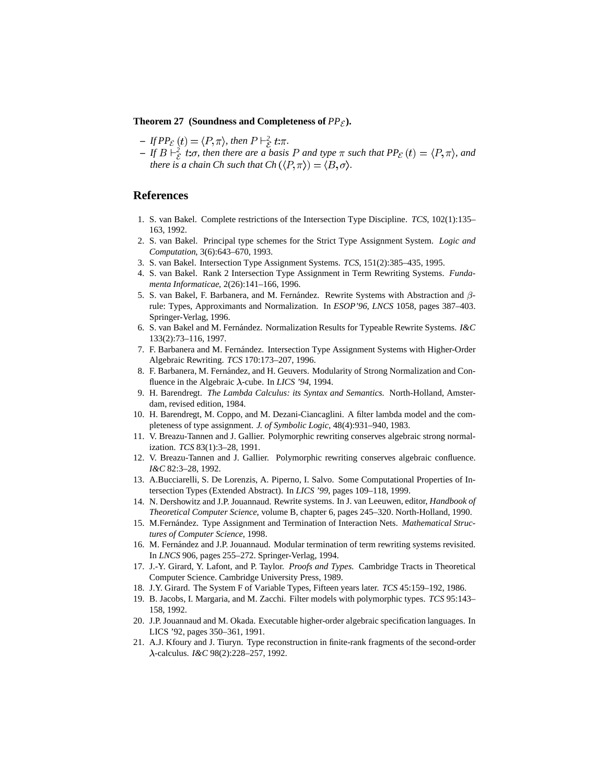#### **Theorem 27 (Soundness and Completeness of**  $PP_{\mathcal{E}}$ **).**

- $-FTPP_{\mathcal{E}}(t) = \langle P, \pi \rangle$ , then  $P \vdash_{\mathcal{E}}^2 t : \pi$ .
- $-If B \vdash^2_{\mathcal{E}} t.\sigma$ , then there are a basis P and type  $\pi$  such that  $PP_{\mathcal{E}}(t) = \langle P, \pi \rangle$ , and *there is a chain Ch such that*  $Ch(\langle P,\pi \rangle) = \langle B,\sigma \rangle$ *.*

## **References**

- 1. S. van Bakel. Complete restrictions of the Intersection Type Discipline. *TCS*, 102(1):135– 163, 1992.
- 2. S. van Bakel. Principal type schemes for the Strict Type Assignment System. *Logic and Computation*, 3(6):643–670, 1993.
- 3. S. van Bakel. Intersection Type Assignment Systems. *TCS*, 151(2):385–435, 1995.
- 4. S. van Bakel. Rank 2 Intersection Type Assignment in Term Rewriting Systems. *Fundamenta Informaticae*, 2(26):141–166, 1996.
- 5. S. van Bakel, F. Barbanera, and M. Fernández. Rewrite Systems with Abstraction and  $\beta$ rule: Types, Approximants and Normalization. In *ESOP'96*, *LNCS* 1058, pages 387–403. Springer-Verlag, 1996.
- 6. S. van Bakel and M. Fernandez. ´ Normalization Results for Typeable Rewrite Systems. *I&C* 133(2):73–116, 1997.
- 7. F. Barbanera and M. Fernández. Intersection Type Assignment Systems with Higher-Order Algebraic Rewriting. *TCS* 170:173–207, 1996.
- 8. F. Barbanera, M. Fernández, and H. Geuvers. Modularity of Strong Normalization and Confluence in the Algebraic  $\lambda$ -cube. In *LICS* '94, 1994.
- 9. H. Barendregt. *The Lambda Calculus: its Syntax and Semantics*. North-Holland, Amsterdam, revised edition, 1984.
- 10. H. Barendregt, M. Coppo, and M. Dezani-Ciancaglini. A filter lambda model and the completeness of type assignment. *J. of Symbolic Logic*, 48(4):931–940, 1983.
- 11. V. Breazu-Tannen and J. Gallier. Polymorphic rewriting conserves algebraic strong normalization. *TCS* 83(1):3–28, 1991.
- 12. V. Breazu-Tannen and J. Gallier. Polymorphic rewriting conserves algebraic confluence. *I&C* 82:3–28, 1992.
- 13. A.Bucciarelli, S. De Lorenzis, A. Piperno, I. Salvo. Some Computational Properties of Intersection Types (Extended Abstract). In *LICS '99*, pages 109–118, 1999.
- 14. N. Dershowitz and J.P. Jouannaud. Rewrite systems. In J. van Leeuwen, editor, *Handbook of Theoretical Computer Science*, volume B, chapter 6, pages 245–320. North-Holland, 1990.
- 15. M.Fernández. Type Assignment and Termination of Interaction Nets. *Mathematical Structures of Computer Science*, 1998.
- 16. M. Fernández and J.P. Jouannaud. Modular termination of term rewriting systems revisited. In *LNCS* 906, pages 255–272. Springer-Verlag, 1994.
- 17. J.-Y. Girard, Y. Lafont, and P. Taylor. *Proofs and Types*. Cambridge Tracts in Theoretical Computer Science. Cambridge University Press, 1989.
- 18. J.Y. Girard. The System F of Variable Types, Fifteen years later. *TCS* 45:159–192, 1986.
- 19. B. Jacobs, I. Margaria, and M. Zacchi. Filter models with polymorphic types. *TCS* 95:143– 158, 1992.
- 20. J.P. Jouannaud and M. Okada. Executable higher-order algebraic specification languages. In LICS '92, pages 350–361, 1991.
- 21. A.J. Kfoury and J. Tiuryn. Type reconstruction in finite-rank fragments of the second-order -calculus. *I&C* 98(2):228–257, 1992.